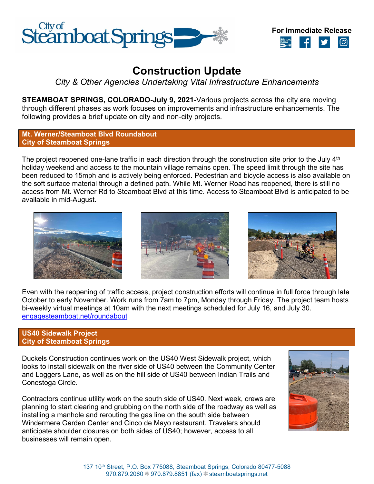



# **Construction Update**

*City & Other Agencies Undertaking Vital Infrastructure Enhancements*

**STEAMBOAT SPRINGS, COLORADO-July 9, 2021-**Various projects across the city are moving through different phases as work focuses on improvements and infrastructure enhancements. The following provides a brief update on city and non-city projects.

# **Mt. Werner/Steamboat Blvd Roundabout City of Steamboat Springs**

The project reopened one-lane traffic in each direction through the construction site prior to the July  $4<sup>th</sup>$ holiday weekend and access to the mountain village remains open. The speed limit through the site has been reduced to 15mph and is actively being enforced. Pedestrian and bicycle access is also available on the soft surface material through a defined path. While Mt. Werner Road has reopened, there is still no access from Mt. Werner Rd to Steamboat Blvd at this time. Access to Steamboat Blvd is anticipated to be available in mid-August.







Even with the reopening of traffic access, project construction efforts will continue in full force through late October to early November. Work runs from 7am to 7pm, Monday through Friday. The project team hosts bi-weekly virtual meetings at 10am with the next meetings scheduled for July 16, and July 30. [engagesteamboat.net/roundabout](file://fs01/share/General%20Government/Communications/Public/Press%20Releases/2021/engagesteamboat.net/roundabout)

# **US40 Sidewalk Project City of Steamboat Springs**

Duckels Construction continues work on the US40 West Sidewalk project, which looks to install sidewalk on the river side of US40 between the Community Center and Loggers Lane, as well as on the hill side of US40 between Indian Trails and Conestoga Circle.

Contractors continue utility work on the south side of US40. Next week, crews are planning to start clearing and grubbing on the north side of the roadway as well as installing a manhole and rerouting the gas line on the south side between Windermere Garden Center and Cinco de Mayo restaurant. Travelers should anticipate shoulder closures on both sides of US40; however, access to all businesses will remain open.

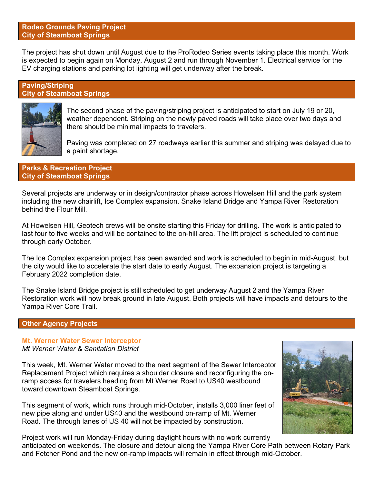# **Rodeo Grounds Paving Project City of Steamboat Springs**

The project has shut down until August due to the ProRodeo Series events taking place this month. Work is expected to begin again on Monday, August 2 and run through November 1. Electrical service for the EV charging stations and parking lot lighting will get underway after the break.

# **Paving/Striping City of Steamboat Springs**



The second phase of the paving/striping project is anticipated to start on July 19 or 20, weather dependent. Striping on the newly paved roads will take place over two days and there should be minimal impacts to travelers.

Paving was completed on 27 roadways earlier this summer and striping was delayed due to a paint shortage.

## **Parks & Recreation Project City of Steamboat Springs**

Several projects are underway or in design/contractor phase across Howelsen Hill and the park system including the new chairlift, Ice Complex expansion, Snake Island Bridge and Yampa River Restoration behind the Flour Mill.

At Howelsen Hill, Geotech crews will be onsite starting this Friday for drilling. The work is anticipated to last four to five weeks and will be contained to the on-hill area. The lift project is scheduled to continue through early October.

The Ice Complex expansion project has been awarded and work is scheduled to begin in mid-August, but the city would like to accelerate the start date to early August. The expansion project is targeting a February 2022 completion date.

The Snake Island Bridge project is still scheduled to get underway August 2 and the Yampa River Restoration work will now break ground in late August. Both projects will have impacts and detours to the Yampa River Core Trail.

# **Other Agency Projects**

# **Mt. Werner Water Sewer Interceptor**

# *Mt Werner Water & Sanitation District*

This week, Mt. Werner Water moved to the next segment of the Sewer Interceptor Replacement Project which requires a shoulder closure and reconfiguring the onramp access for travelers heading from Mt Werner Road to US40 westbound toward downtown Steamboat Springs.

This segment of work, which runs through mid-October, installs 3,000 liner feet of new pipe along and under US40 and the westbound on-ramp of Mt. Werner Road. The through lanes of US 40 will not be impacted by construction.



Project work will run Monday-Friday during daylight hours with no work currently anticipated on weekends. The closure and detour along the Yampa River Core Path between Rotary Park and Fetcher Pond and the new on-ramp impacts will remain in effect through mid-October.